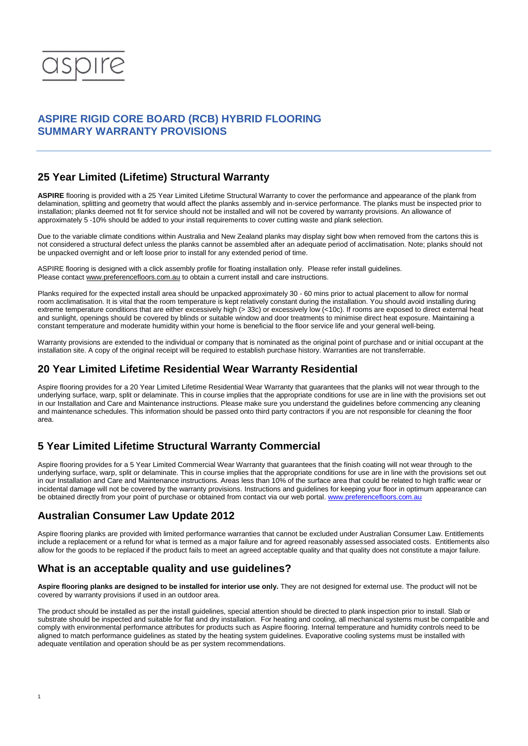

## **ASPIRE RIGID CORE BOARD (RCB) HYBRID FLOORING SUMMARY WARRANTY PROVISIONS**

#### **25 Year Limited (Lifetime) Structural Warranty**

**ASPIRE** flooring is provided with a 25 Year Limited Lifetime Structural Warranty to cover the performance and appearance of the plank from delamination, splitting and geometry that would affect the planks assembly and in-service performance. The planks must be inspected prior to installation; planks deemed not fit for service should not be installed and will not be covered by warranty provisions. An allowance of approximately 5 -10% should be added to your install requirements to cover cutting waste and plank selection.

Due to the variable climate conditions within Australia and New Zealand planks may display sight bow when removed from the cartons this is not considered a structural defect unless the planks cannot be assembled after an adequate period of acclimatisation. Note; planks should not be unpacked overnight and or left loose prior to install for any extended period of time.

ASPIRE flooring is designed with a click assembly profile for floating installation only. Please refer install guidelines. Please contac[t www.preferencefloors.com.au](http://www.preferencefloors.com.au/) to obtain a current install and care instructions.

Planks required for the expected install area should be unpacked approximately 30 - 60 mins prior to actual placement to allow for normal room acclimatisation. It is vital that the room temperature is kept relatively constant during the installation. You should avoid installing during extreme temperature conditions that are either excessively high (> 33c) or excessively low (<10c). If rooms are exposed to direct external heat and sunlight, openings should be covered by blinds or suitable window and door treatments to minimise direct heat exposure. Maintaining a constant temperature and moderate humidity within your home is beneficial to the floor service life and your general well-being.

Warranty provisions are extended to the individual or company that is nominated as the original point of purchase and or initial occupant at the installation site. A copy of the original receipt will be required to establish purchase history. Warranties are not transferrable.

#### **20 Year Limited Lifetime Residential Wear Warranty Residential**

Aspire flooring provides for a 20 Year Limited Lifetime Residential Wear Warranty that guarantees that the planks will not wear through to the underlying surface, warp, split or delaminate. This in course implies that the appropriate conditions for use are in line with the provisions set out in our Installation and Care and Maintenance instructions. Please make sure you understand the guidelines before commencing any cleaning and maintenance schedules. This information should be passed onto third party contractors if you are not responsible for cleaning the floor area.

## **5 Year Limited Lifetime Structural Warranty Commercial**

Aspire flooring provides for a 5 Year Limited Commercial Wear Warranty that guarantees that the finish coating will not wear through to the underlying surface, warp, split or delaminate. This in course implies that the appropriate conditions for use are in line with the provisions set out in our Installation and Care and Maintenance instructions. Areas less than 10% of the surface area that could be related to high traffic wear or incidental damage will not be covered by the warranty provisions. Instructions and guidelines for keeping your floor in optimum appearance can be obtained directly from your point of purchase or obtained from contact via our web portal. [www.preferencefloors.com.au](http://www.preferencefloors.com.au/)

## **Australian Consumer Law Update 2012**

Aspire flooring planks are provided with limited performance warranties that cannot be excluded under Australian Consumer Law. Entitlements include a replacement or a refund for what is termed as a major failure and for agreed reasonably assessed associated costs. Entitlements also allow for the goods to be replaced if the product fails to meet an agreed acceptable quality and that quality does not constitute a major failure.

## **What is an acceptable quality and use guidelines?**

**Aspire flooring planks are designed to be installed for interior use only.** They are not designed for external use. The product will not be covered by warranty provisions if used in an outdoor area.

The product should be installed as per the install guidelines, special attention should be directed to plank inspection prior to install. Slab or substrate should be inspected and suitable for flat and dry installation. For heating and cooling, all mechanical systems must be compatible and comply with environmental performance attributes for products such as Aspire flooring. Internal temperature and humidity controls need to be aligned to match performance guidelines as stated by the heating system guidelines. Evaporative cooling systems must be installed with adequate ventilation and operation should be as per system recommendations.